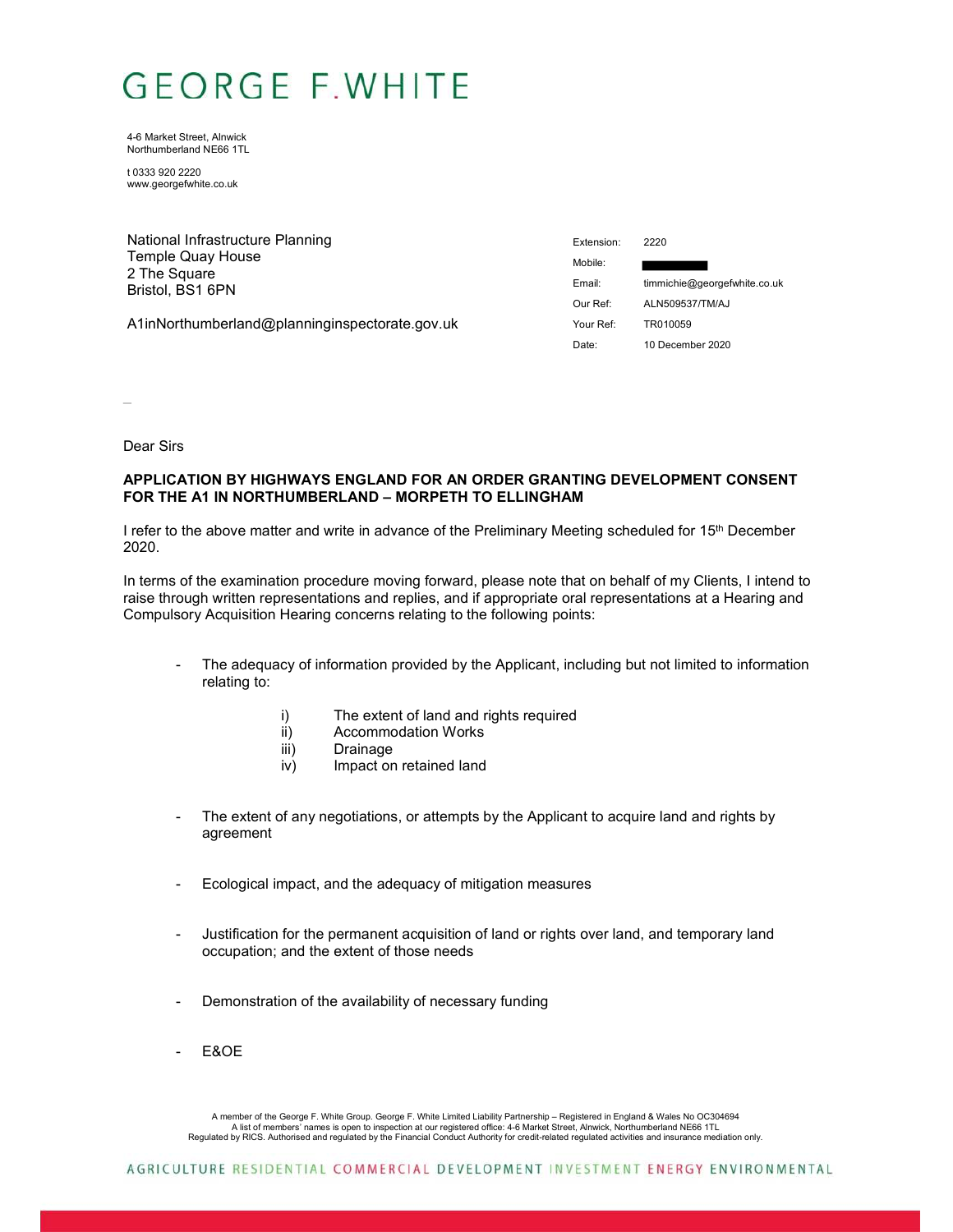## **GEORGE F.WHITE**

4-6 Market Street, Alnwick Northumberland NE66 1TL

t 0333 920 2220 www.georgefwhite.co.uk

| National Infrastructure Planning               | Extension: | 2220                         |
|------------------------------------------------|------------|------------------------------|
| Temple Quay House                              | Mobile:    |                              |
| 2 The Square<br>Bristol, BS1 6PN               | Email:     | timmichie@georgefwhite.co.uk |
|                                                | Our Ref:   | ALN509537/TM/AJ              |
| A1inNorthumberland@planninginspectorate.gov.uk | Your Ref:  | TR010059                     |
|                                                | Date:      | 10 December 2020             |

 $\overline{a}$ 

Dear Sirs

## **APPLICATION BY HIGHWAYS ENGLAND FOR AN ORDER GRANTING DEVELOPMENT CONSENT FOR THE A1 IN NORTHUMBERLAND – MORPETH TO ELLINGHAM**

I refer to the above matter and write in advance of the Preliminary Meeting scheduled for 15<sup>th</sup> December 2020.

In terms of the examination procedure moving forward, please note that on behalf of my Clients, I intend to raise through written representations and replies, and if appropriate oral representations at a Hearing and Compulsory Acquisition Hearing concerns relating to the following points:

- The adequacy of information provided by the Applicant, including but not limited to information relating to:
	- i) The extent of land and rights required
	- ii) Accommodation Works
	- iii) Drainage
	- iv) Impact on retained land
- The extent of any negotiations, or attempts by the Applicant to acquire land and rights by agreement
- Ecological impact, and the adequacy of mitigation measures
- Justification for the permanent acquisition of land or rights over land, and temporary land occupation; and the extent of those needs
- Demonstration of the availability of necessary funding
- E&OE

A member of the George F. White Group. George F. White Limited Liability Partnership – Registered in England & Wales No OC304694 A list of members' names is open to inspection at our registered office: 4-6 Market Street, Alnwick, Northumberland NE66 1TL<br>Regulated by RICS. Authorised and regulated by the Financial Conduct Authority for credit-related